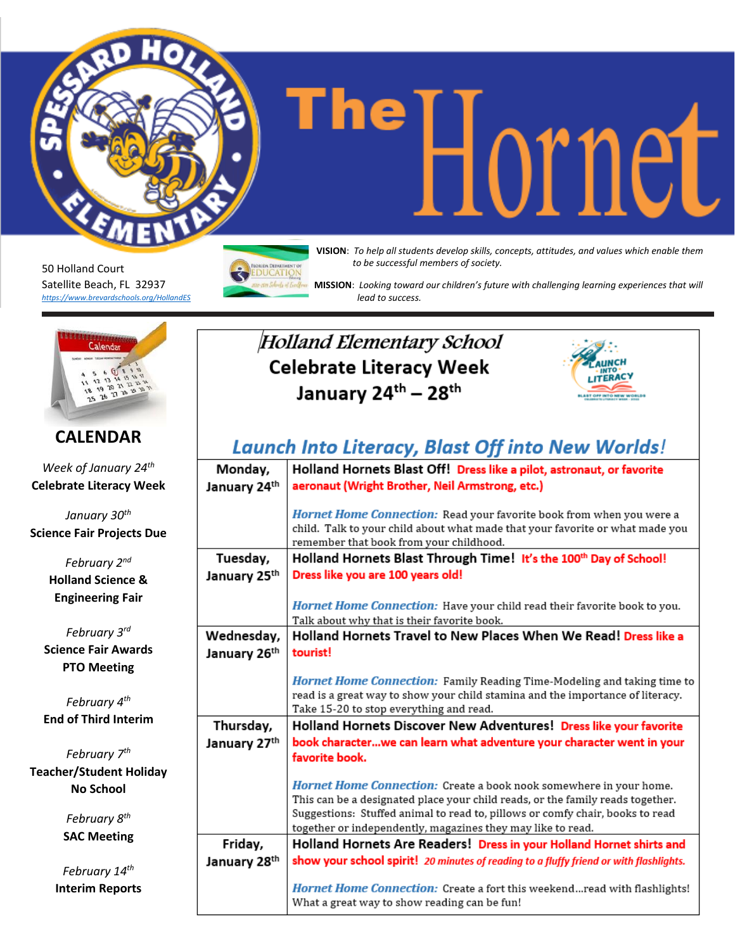**The independent of the concepts**  $\prod_{\text{NISION: } \text{To help all students develop skills, concepts, attitudes, and values which enable them.}$ 

50 Holland Court Satellite Beach, FL 32937 *<https://www.brevardschools.org/HollandES>* *to be successful members of society.*

 **MISSION**: *Looking toward our children's future with challenging learning experiences that will lead to success.*



#### **CALENDAR**

*Week of January 24th* **Celebrate Literacy Week**

*January 30th* **Science Fair Projects Due**

> *February 2 nd* **Holland Science & Engineering Fair**

*February 3 rd* **Science Fair Awards PTO Meeting**

*February 4 th* **End of Third Interim**

*February 7 th* **Teacher/Student Holiday No School**

> *February 8 th* **SAC Meeting**

*February 14 th* **Interim Reports**

### Holland Elementary School **Celebrate Literacy Week** January 24th - 28th



## **Launch Into Literacy, Blast Off into New Worlds!**

| Monday,<br>January 24th | Holland Hornets Blast Off! Dress like a pilot, astronaut, or favorite<br>aeronaut (Wright Brother, Neil Armstrong, etc.)                                                                                                                                                                                    |
|-------------------------|-------------------------------------------------------------------------------------------------------------------------------------------------------------------------------------------------------------------------------------------------------------------------------------------------------------|
|                         | Hornet Home Connection: Read your favorite book from when you were a<br>child. Talk to your child about what made that your favorite or what made you<br>remember that book from your childhood.                                                                                                            |
| Tuesday,                | Holland Hornets Blast Through Time! It's the 100th Day of School!                                                                                                                                                                                                                                           |
| January 25th            | Dress like you are 100 years old!                                                                                                                                                                                                                                                                           |
|                         | Hornet Home Connection: Have your child read their favorite book to you.<br>Talk about why that is their favorite book.                                                                                                                                                                                     |
| Wednesday,              | Holland Hornets Travel to New Places When We Read! Dress like a                                                                                                                                                                                                                                             |
| January 26th            | tourist!                                                                                                                                                                                                                                                                                                    |
|                         | Hornet Home Connection: Family Reading Time-Modeling and taking time to<br>read is a great way to show your child stamina and the importance of literacy.<br>Take 15-20 to stop everything and read.                                                                                                        |
| Thursday,               | Holland Hornets Discover New Adventures! Dress like your favorite                                                                                                                                                                                                                                           |
| January 27th            | book characterwe can learn what adventure your character went in your<br>favorite book.                                                                                                                                                                                                                     |
|                         | <i>Hornet Home Connection:</i> Create a book nook somewhere in your home.<br>This can be a designated place your child reads, or the family reads together.<br>Suggestions: Stuffed animal to read to, pillows or comfy chair, books to read<br>together or independently, magazines they may like to read. |
| Friday,                 | Holland Hornets Are Readers! Dress in your Holland Hornet shirts and                                                                                                                                                                                                                                        |
| January 28th            | show your school spirit! 20 minutes of reading to a fluffy friend or with flashlights.                                                                                                                                                                                                                      |
|                         | Hornet Home Connection: Create a fort this weekend read with flashlights!<br>What a great way to show reading can be fun!                                                                                                                                                                                   |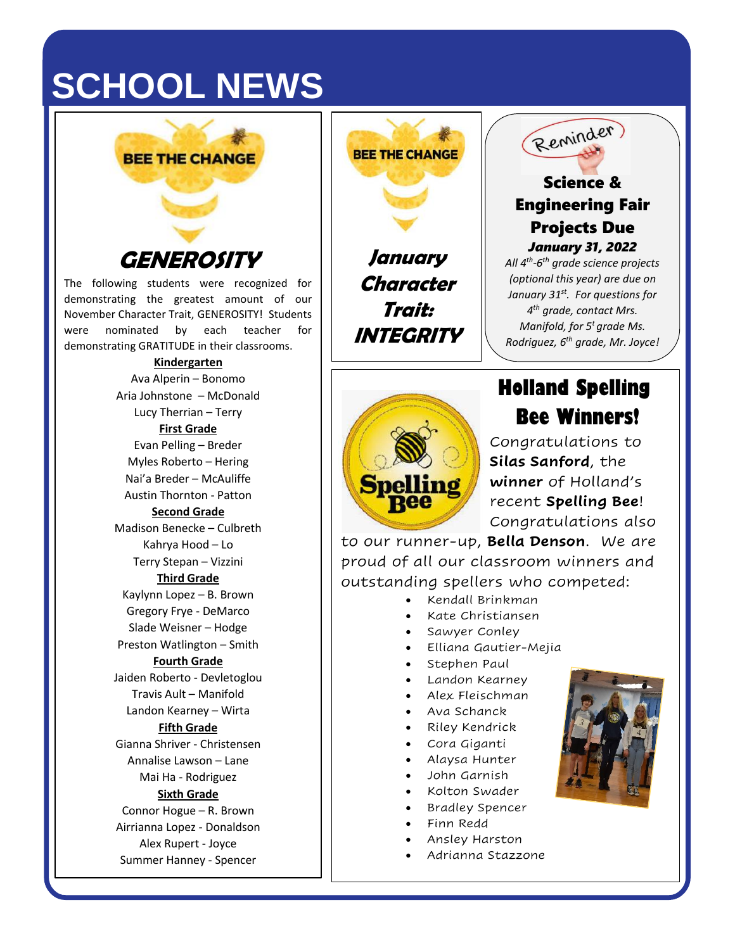# **SCHOOL NEWS**



The following students were recognized for demonstrating the greatest amount of our November Character Trait, GENEROSITY! Students were nominated by each teacher for demonstrating GRATITUDE in their classrooms.

#### **Kindergarten**

Ava Alperin – Bonomo Aria Johnstone – McDonald Lucy Therrian – Terry **First Grade** Evan Pelling – Breder Myles Roberto – Hering Nai'a Breder – McAuliffe Austin Thornton - Patton **Second Grade** Madison Benecke – Culbreth Kahrya Hood – Lo Terry Stepan – Vizzini **Third Grade** Kaylynn Lopez – B. Brown Gregory Frye - DeMarco Slade Weisner – Hodge Preston Watlington – Smith **Fourth Grade** Jaiden Roberto - Devletoglou Travis Ault – Manifold Landon Kearney – Wirta **Fifth Grade** Gianna Shriver - Christensen Annalise Lawson – Lane Mai Ha - Rodriguez **Sixth Grade** Connor Hogue – R. Brown Airrianna Lopez - Donaldson Alex Rupert - Joyce Summer Hanney - Spencer

**January Character Trait:** 

**BEE THE CHANGE** 

**INTEGRITY**

**Spelling** 



#### Science & Engineering Fair Projects Due *January 31, 2022*

*All 4th -6 th grade science projects (optional this year) are due on January 31st . For questions for 4 th grade, contact Mrs. Manifold, for 5<sup>t</sup> grade Ms. Rodriguez, 6 th grade, Mr. Joyce!*

## **Holland Spelling Bee Winners!**

Congratulations to **Silas Sanford**, the **winner** of Holland's recent **Spelling Bee**! Congratulations also

to our runner-up, **Bella Denson**. We are proud of all our classroom winners and outstanding spellers who competed:

- Kendall Brinkman
- Kate Christiansen
- Sawyer Conley
- Elliana Gautier-Mejia
- Stephen Paul
- Landon Kearney
- Alex Fleischman
- Ava Schanck
- Riley Kendrick
- Cora Giganti
- Alaysa Hunter
- John Garnish
- Kolton Swader
- Bradley Spencer
- Finn Redd
- Ansley Harston
- Adrianna Stazzone

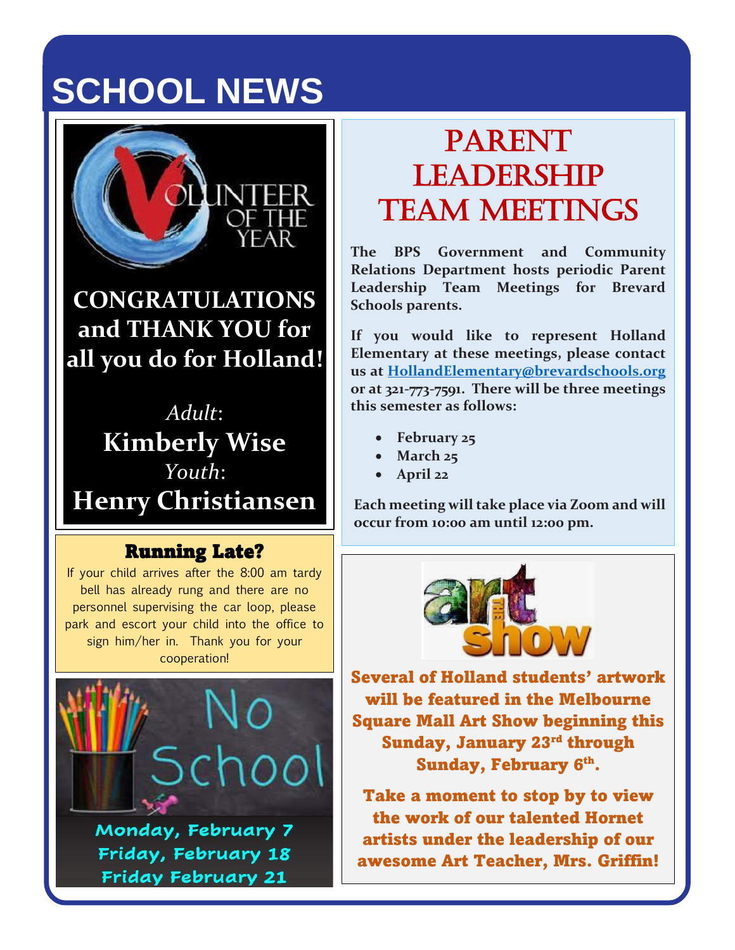# **SCHOOL NEWS**



**CONGRATULATIONS and THANK YOU for all you do for Holland!**

*Adult*: **Kimberly Wise** *Youth*: **Henry Christiansen**

### Running Late?

If your child arrives after the 8:00 am tardy bell has already rung and there are no personnel supervising the car loop, please park and escort your child into the office to sign him/her in. Thank you for your cooperation!



Friday, February 18 **Friday February 21** 

# PARENT **LEADERSHIP** Team Meetings

**The BPS Government and Community Relations Department hosts periodic Parent Leadership Team Meetings for Brevard Schools parents.** 

**If you would like to represent Holland Elementary at these meetings, please contact us at [HollandElementary@brevardschools.org](mailto:HollandElementary@brevardschools.org) or at 321-773-7591. There will be three meetings this semester as follows:**

- **February 25**
- **March 25**
- **April 22**

**Each meeting will take place via Zoom and will occur from 10:00 am until 12:00 pm.**



Several of Holland students' artwork will be featured in the Melbourne Square Mall Art Show beginning this Sunday, January 23<sup>rd</sup> through Sunday, February 6<sup>th</sup>.

Take a moment to stop by to view the work of our talented Hornet artists under the leadership of our awesome Art Teacher, Mrs. Griffin!